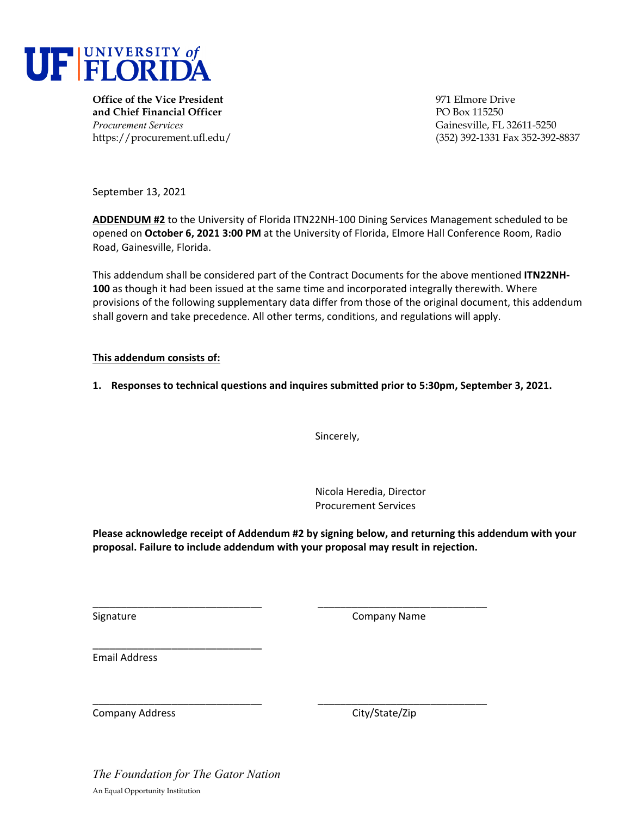

**Office of the Vice President Office of the Vice President Office of the Vice President Office of the Vice President Office of the Vice President Office of the Vice President Office of the Vice President and Chief Financial Officer PO Box 115250** *Procurement Services* Gainesville, FL 32611-5250

https://procurement.ufl.edu/ (352) 392-1331 Fax 352-392-8837

September 13, 2021

**ADDENDUM #2** to the University of Florida ITN22NH‐100 Dining Services Management scheduled to be opened on **October 6, 2021 3:00 PM** at the University of Florida, Elmore Hall Conference Room, Radio Road, Gainesville, Florida.

This addendum shall be considered part of the Contract Documents for the above mentioned **ITN22NH‐ 100** as though it had been issued at the same time and incorporated integrally therewith. Where provisions of the following supplementary data differ from those of the original document, this addendum shall govern and take precedence. All other terms, conditions, and regulations will apply.

# **This addendum consists of:**

**1. Responses to technical questions and inquires submitted prior to 5:30pm, September 3, 2021.** 

Sincerely,

Nicola Heredia, Director Procurement Services

**Please acknowledge receipt of Addendum #2 by signing below, and returning this addendum with your proposal. Failure to include addendum with your proposal may result in rejection.**

\_\_\_\_\_\_\_\_\_\_\_\_\_\_\_\_\_\_\_\_\_\_\_\_\_\_\_\_\_\_ \_\_\_\_\_\_\_\_\_\_\_\_\_\_\_\_\_\_\_\_\_\_\_\_\_\_\_\_\_\_

\_\_\_\_\_\_\_\_\_\_\_\_\_\_\_\_\_\_\_\_\_\_\_\_\_\_\_\_\_\_ \_\_\_\_\_\_\_\_\_\_\_\_\_\_\_\_\_\_\_\_\_\_\_\_\_\_\_\_\_\_

Signature **Company Name** 

Email Address

Company Address 
Company Address

Company City/State/Zip

*The Foundation for The Gator Nation*  An Equal Opportunity Institution

\_\_\_\_\_\_\_\_\_\_\_\_\_\_\_\_\_\_\_\_\_\_\_\_\_\_\_\_\_\_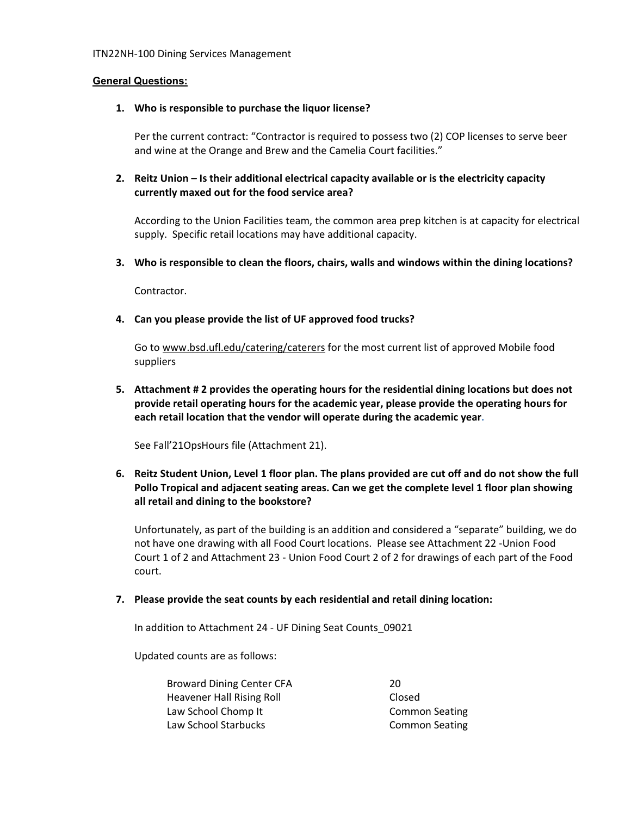#### **General Questions:**

#### **1. Who is responsible to purchase the liquor license?**

Per the current contract: "Contractor is required to possess two (2) COP licenses to serve beer and wine at the Orange and Brew and the Camelia Court facilities."

# **2. Reitz Union – Is their additional electrical capacity available or is the electricity capacity currently maxed out for the food service area?**

According to the Union Facilities team, the common area prep kitchen is at capacity for electrical supply. Specific retail locations may have additional capacity.

**3. Who is responsible to clean the floors, chairs, walls and windows within the dining locations?** 

Contractor.

### **4. Can you please provide the list of UF approved food trucks?**

Go to www.bsd.ufl.edu/catering/caterers for the most current list of approved Mobile food suppliers

**5. Attachment # 2 provides the operating hours for the residential dining locations but does not provide retail operating hours for the academic year, please provide the operating hours for each retail location that the vendor will operate during the academic year.**

See Fall'21OpsHours file (Attachment 21).

6. Reitz Student Union, Level 1 floor plan. The plans provided are cut off and do not show the full **Pollo Tropical and adjacent seating areas. Can we get the complete level 1 floor plan showing all retail and dining to the bookstore?** 

Unfortunately, as part of the building is an addition and considered a "separate" building, we do not have one drawing with all Food Court locations. Please see Attachment 22 ‐Union Food Court 1 of 2 and Attachment 23 ‐ Union Food Court 2 of 2 for drawings of each part of the Food court.

**7. Please provide the seat counts by each residential and retail dining location:** 

In addition to Attachment 24 ‐ UF Dining Seat Counts\_09021

Updated counts are as follows:

Broward Dining Center CFA 20 Heavener Hall Rising Roll **Same Constant Closed** Law School Chomp It **Common Seating** Law School Starbucks **Common Seating**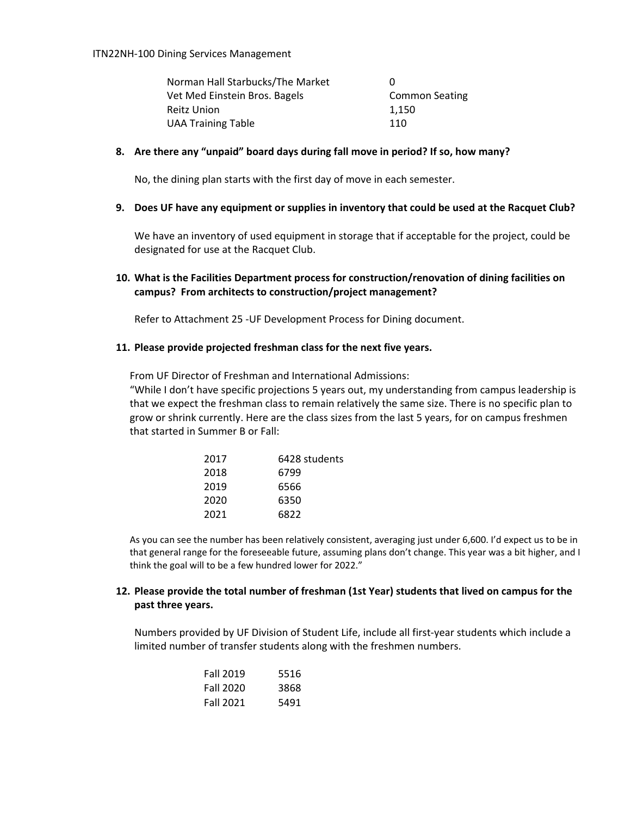| Norman Hall Starbucks/The Market | $^{(1)}$              |
|----------------------------------|-----------------------|
| Vet Med Einstein Bros. Bagels    | <b>Common Seating</b> |
| Reitz Union                      | 1.150                 |
| <b>UAA Training Table</b>        | 110                   |

#### **8. Are there any "unpaid" board days during fall move in period? If so, how many?**

No, the dining plan starts with the first day of move in each semester.

#### 9. Does UF have any equipment or supplies in inventory that could be used at the Racquet Club?

We have an inventory of used equipment in storage that if acceptable for the project, could be designated for use at the Racquet Club.

# **10. What is the Facilities Department process for construction/renovation of dining facilities on campus? From architects to construction/project management?**

Refer to Attachment 25 ‐UF Development Process for Dining document.

#### **11. Please provide projected freshman class for the next five years.**

From UF Director of Freshman and International Admissions: "While I don't have specific projections 5 years out, my understanding from campus leadership is that we expect the freshman class to remain relatively the same size. There is no specific plan to grow or shrink currently. Here are the class sizes from the last 5 years, for on campus freshmen that started in Summer B or Fall:

| 2017 | 6428 students |
|------|---------------|
| 2018 | 6799          |
| 2019 | 6566          |
| 2020 | 6350          |
| 2021 | 6822          |

As you can see the number has been relatively consistent, averaging just under 6,600. I'd expect us to be in that general range for the foreseeable future, assuming plans don't change. This year was a bit higher, and I think the goal will to be a few hundred lower for 2022."

# **12. Please provide the total number of freshman (1st Year) students that lived on campus for the past three years.**

Numbers provided by UF Division of Student Life, include all first‐year students which include a limited number of transfer students along with the freshmen numbers.

| <b>Fall 2019</b> | 5516 |
|------------------|------|
| <b>Fall 2020</b> | 3868 |
| <b>Fall 2021</b> | 5491 |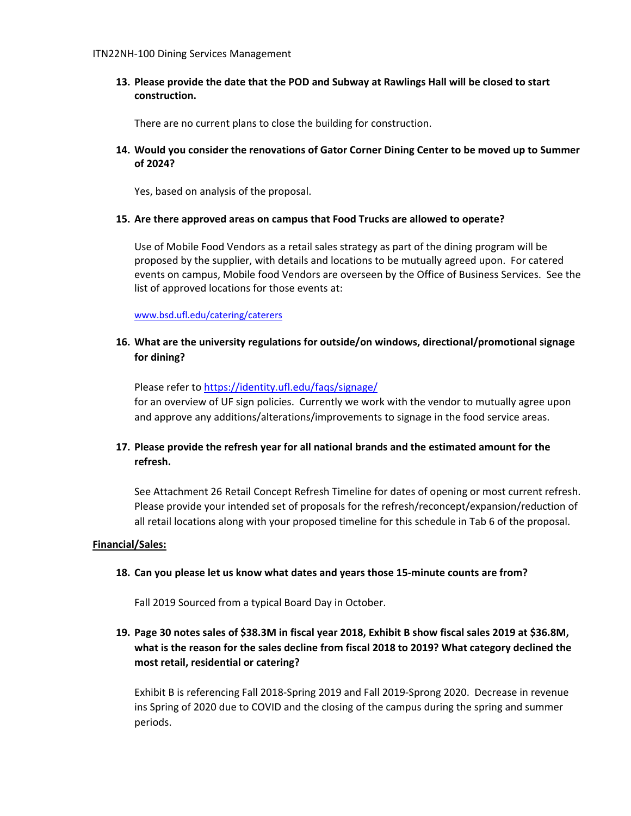**13. Please provide the date that the POD and Subway at Rawlings Hall will be closed to start construction.** 

There are no current plans to close the building for construction.

# **14. Would you consider the renovations of Gator Corner Dining Center to be moved up to Summer of 2024?**

Yes, based on analysis of the proposal.

#### **15. Are there approved areas on campus that Food Trucks are allowed to operate?**

Use of Mobile Food Vendors as a retail sales strategy as part of the dining program will be proposed by the supplier, with details and locations to be mutually agreed upon. For catered events on campus, Mobile food Vendors are overseen by the Office of Business Services. See the list of approved locations for those events at:

www.bsd.ufl.edu/catering/caterers

# **16. What are the university regulations for outside/on windows, directional/promotional signage for dining?**

Please refer to https://identity.ufl.edu/faqs/signage/ for an overview of UF sign policies. Currently we work with the vendor to mutually agree upon and approve any additions/alterations/improvements to signage in the food service areas.

# **17. Please provide the refresh year for all national brands and the estimated amount for the refresh.**

See Attachment 26 Retail Concept Refresh Timeline for dates of opening or most current refresh. Please provide your intended set of proposals for the refresh/reconcept/expansion/reduction of all retail locations along with your proposed timeline for this schedule in Tab 6 of the proposal.

### **Financial/Sales:**

#### **18. Can you please let us know what dates and years those 15‐minute counts are from?**

Fall 2019 Sourced from a typical Board Day in October.

# 19. Page 30 notes sales of \$38.3M in fiscal year 2018, Exhibit B show fiscal sales 2019 at \$36.8M, **what is the reason for the sales decline from fiscal 2018 to 2019? What category declined the most retail, residential or catering?**

Exhibit B is referencing Fall 2018‐Spring 2019 and Fall 2019‐Sprong 2020. Decrease in revenue ins Spring of 2020 due to COVID and the closing of the campus during the spring and summer periods.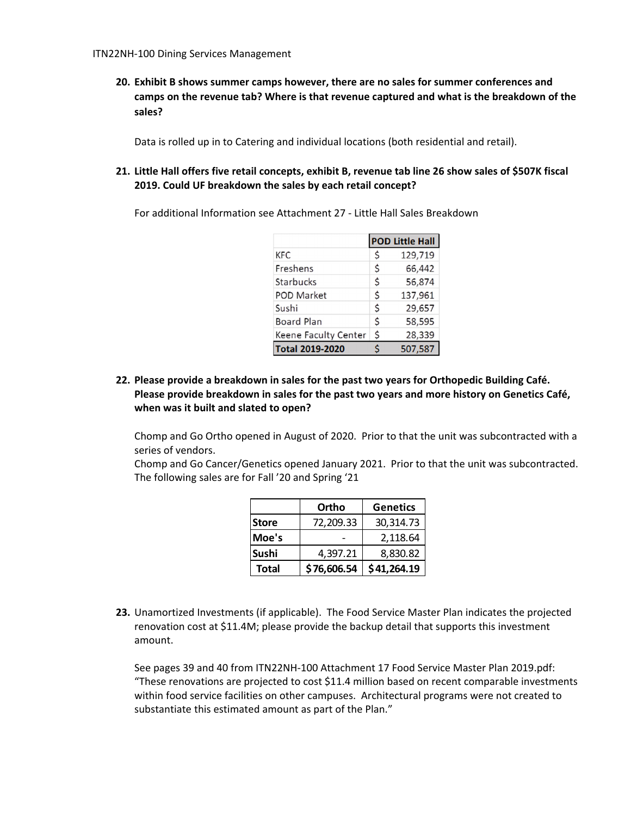**20. Exhibit B shows summer camps however, there are no sales for summer conferences and camps on the revenue tab? Where is that revenue captured and what is the breakdown of the sales?**

Data is rolled up in to Catering and individual locations (both residential and retail).

21. Little Hall offers five retail concepts, exhibit B, revenue tab line 26 show sales of \$507K fiscal **2019. Could UF breakdown the sales by each retail concept?**

For additional Information see Attachment 27 ‐ Little Hall Sales Breakdown

|                        |    | <b>POD Little Hall</b> |
|------------------------|----|------------------------|
| KFC                    | Ś  | 129,719                |
| Freshens               | Ś  | 66,442                 |
| Starbucks              | \$ | 56,874                 |
| <b>POD Market</b>      | Ś  | 137,961                |
| Sushi                  | \$ | 29,657                 |
| <b>Board Plan</b>      | Ś  | 58,595                 |
| Keene Faculty Center   | \$ | 28,339                 |
| <b>Total 2019-2020</b> | ς  | 507,587                |

# **22. Please provide a breakdown in sales for the past two years for Orthopedic Building Café. Please provide breakdown in sales for the past two years and more history on Genetics Café, when was it built and slated to open?**

Chomp and Go Ortho opened in August of 2020. Prior to that the unit was subcontracted with a series of vendors.

Chomp and Go Cancer/Genetics opened January 2021. Prior to that the unit was subcontracted. The following sales are for Fall '20 and Spring '21

|              | Ortho       | <b>Genetics</b> |
|--------------|-------------|-----------------|
| <b>Store</b> | 72,209.33   | 30,314.73       |
| Moe's        |             | 2,118.64        |
| Sushi        | 4,397.21    | 8,830.82        |
| <b>Total</b> | \$76,606.54 | \$41,264.19     |

**23.** Unamortized Investments (if applicable). The Food Service Master Plan indicates the projected renovation cost at \$11.4M; please provide the backup detail that supports this investment amount.

See pages 39 and 40 from ITN22NH‐100 Attachment 17 Food Service Master Plan 2019.pdf: "These renovations are projected to cost \$11.4 million based on recent comparable investments within food service facilities on other campuses. Architectural programs were not created to substantiate this estimated amount as part of the Plan."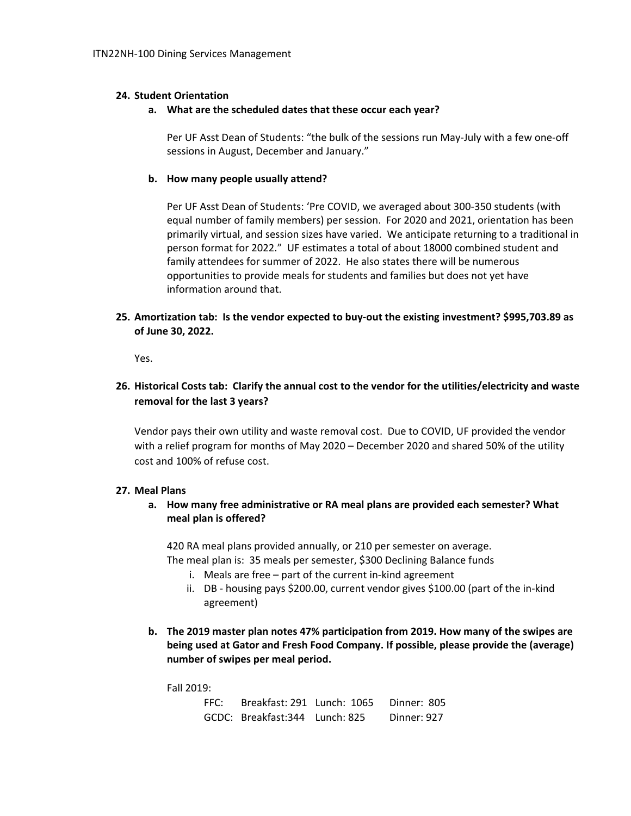### **24. Student Orientation**

#### **a. What are the scheduled dates that these occur each year?**

Per UF Asst Dean of Students: "the bulk of the sessions run May-July with a few one-off sessions in August, December and January."

#### **b. How many people usually attend?**

Per UF Asst Dean of Students: 'Pre COVID, we averaged about 300‐350 students (with equal number of family members) per session. For 2020 and 2021, orientation has been primarily virtual, and session sizes have varied. We anticipate returning to a traditional in person format for 2022." UF estimates a total of about 18000 combined student and family attendees for summer of 2022. He also states there will be numerous opportunities to provide meals for students and families but does not yet have information around that.

# **25. Amortization tab: Is the vendor expected to buy‐out the existing investment? \$995,703.89 as of June 30, 2022.**

Yes.

# **26. Historical Costs tab: Clarify the annual cost to the vendor for the utilities/electricity and waste removal for the last 3 years?**

Vendor pays their own utility and waste removal cost. Due to COVID, UF provided the vendor with a relief program for months of May 2020 – December 2020 and shared 50% of the utility cost and 100% of refuse cost.

#### **27. Meal Plans**

# **a. How many free administrative or RA meal plans are provided each semester? What meal plan is offered?**

420 RA meal plans provided annually, or 210 per semester on average. The meal plan is: 35 meals per semester, \$300 Declining Balance funds

- i. Meals are free part of the current in‐kind agreement
- ii. DB ‐ housing pays \$200.00, current vendor gives \$100.00 (part of the in‐kind agreement)
- **b. The 2019 master plan notes 47% participation from 2019. How many of the swipes are being used at Gator and Fresh Food Company. If possible, please provide the (average) number of swipes per meal period.**

Fall 2019:

| FFC: | Breakfast: 291 Lunch: 1065 Dinner: 805 |             |
|------|----------------------------------------|-------------|
|      | GCDC: Breakfast:344 Lunch: 825         | Dinner: 927 |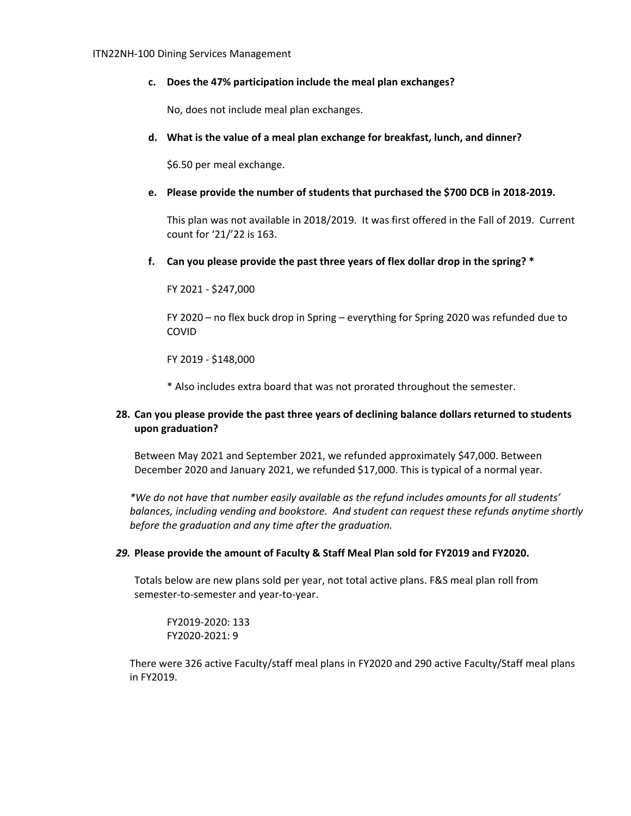#### **c. Does the 47% participation include the meal plan exchanges?**

No, does not include meal plan exchanges.

#### **d. What is the value of a meal plan exchange for breakfast, lunch, and dinner?**

\$6.50 per meal exchange.

### **e. Please provide the number of students that purchased the \$700 DCB in 2018‐2019.**

This plan was not available in 2018/2019. It was first offered in the Fall of 2019. Current count for '21/'22 is 163.

#### **f. Can you please provide the past three years of flex dollar drop in the spring? \***

FY 2021 ‐ \$247,000

FY 2020 – no flex buck drop in Spring – everything for Spring 2020 was refunded due to COVID

FY 2019 ‐ \$148,000

\* Also includes extra board that was not prorated throughout the semester.

# **28. Can you please provide the past three years of declining balance dollars returned to students upon graduation?**

Between May 2021 and September 2021, we refunded approximately \$47,000. Between December 2020 and January 2021, we refunded \$17,000. This is typical of a normal year.

*\*We do not have that number easily available as the refund includes amounts for all students' balances, including vending and bookstore. And student can request these refunds anytime shortly before the graduation and any time after the graduation.* 

#### *29.* **Please provide the amount of Faculty & Staff Meal Plan sold for FY2019 and FY2020.**

Totals below are new plans sold per year, not total active plans. F&S meal plan roll from semester-to-semester and year-to-year.

FY2019‐2020: 133 FY2020‐2021: 9

There were 326 active Faculty/staff meal plans in FY2020 and 290 active Faculty/Staff meal plans in FY2019.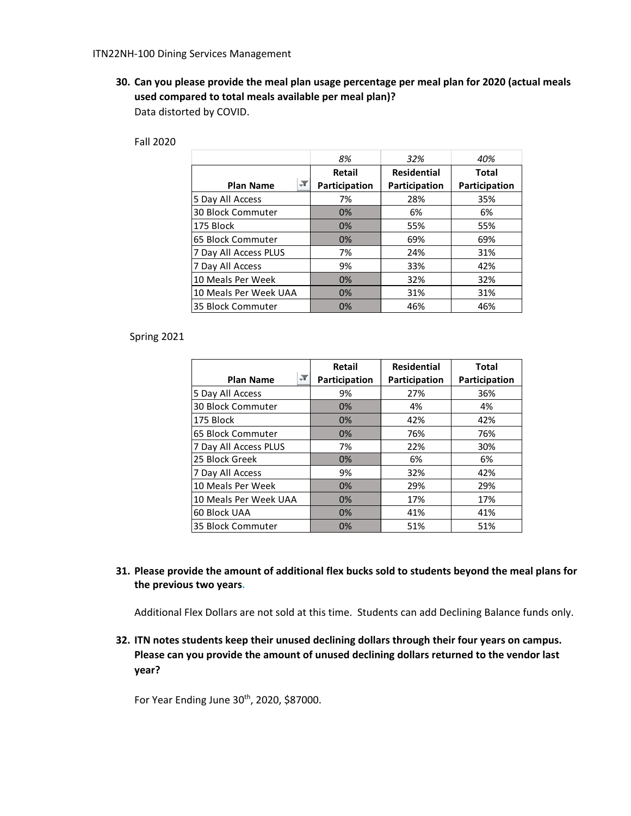**30. Can you please provide the meal plan usage percentage per meal plan for 2020 (actual meals used compared to total meals available per meal plan)?**  Data distorted by COVID.

|                                          | 8%            | 32%                | 40%           |
|------------------------------------------|---------------|--------------------|---------------|
|                                          | Retail        | <b>Residential</b> | <b>Total</b>  |
| $\blacktriangledown$<br><b>Plan Name</b> | Participation | Participation      | Participation |
| 5 Day All Access                         | 7%            | 28%                | 35%           |
| 30 Block Commuter                        | 0%            | 6%                 | 6%            |
| 175 Block                                | 0%            | 55%                | 55%           |
| 65 Block Commuter                        | 0%            | 69%                | 69%           |
| 7 Day All Access PLUS                    | 7%            | 24%                | 31%           |
| 7 Day All Access                         | 9%            | 33%                | 42%           |
| 10 Meals Per Week                        | 0%            | 32%                | 32%           |
| 10 Meals Per Week UAA                    | 0%            | 31%                | 31%           |
| 35 Block Commuter                        | 0%            | 46%                | 46%           |

Fall 2020

#### Spring 2021

| <b>Plan Name</b>        | <b>Retail</b><br>Participation | <b>Residential</b><br>Participation | <b>Total</b><br>Participation |
|-------------------------|--------------------------------|-------------------------------------|-------------------------------|
|                         |                                |                                     |                               |
| 5 Day All Access        | 9%                             | 27%                                 | 36%                           |
| 130 Block Commuter      | 0%                             | 4%                                  | 4%                            |
| l175 Block              | 0%                             | 42%                                 | 42%                           |
| 165 Block Commuter      | 0%                             | 76%                                 | 76%                           |
| 7 Day All Access PLUS   | 7%                             | 22%                                 | 30%                           |
| 25 Block Greek          | 0%                             | 6%                                  | 6%                            |
| 7 Day All Access        | 9%                             | 32%                                 | 42%                           |
| 10 Meals Per Week       | 0%                             | 29%                                 | 29%                           |
| l 10 Meals Per Week UAA | 0%                             | 17%                                 | 17%                           |
| 160 Block UAA           | 0%                             | 41%                                 | 41%                           |
| 35 Block Commuter       | 0%                             | 51%                                 | 51%                           |

# **31. Please provide the amount of additional flex bucks sold to students beyond the meal plans for the previous two years.**

Additional Flex Dollars are not sold at this time. Students can add Declining Balance funds only.

**32. ITN notes students keep their unused declining dollars through their four years on campus. Please can you provide the amount of unused declining dollars returned to the vendor last year?** 

For Year Ending June 30<sup>th</sup>, 2020, \$87000.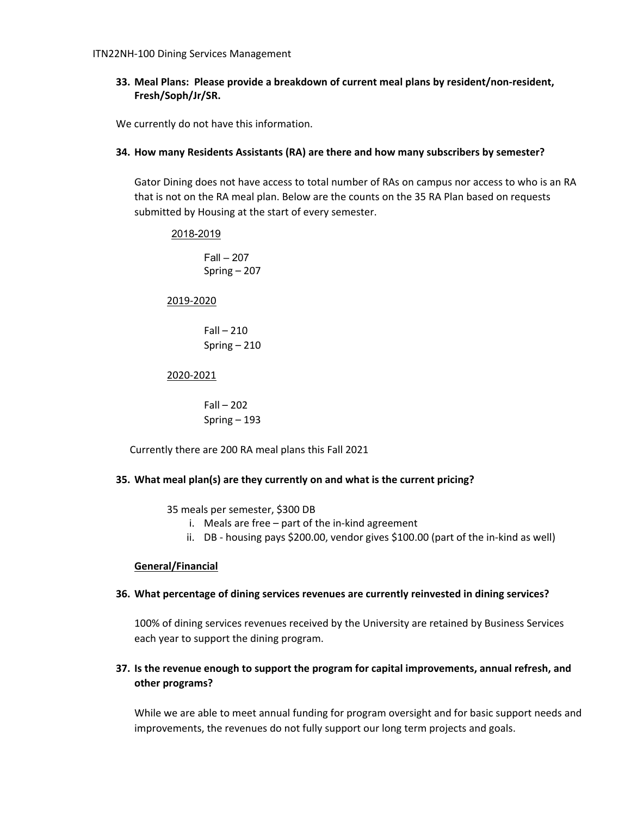# **33. Meal Plans: Please provide a breakdown of current meal plans by resident/non‐resident, Fresh/Soph/Jr/SR.**

We currently do not have this information.

### **34. How many Residents Assistants (RA) are there and how many subscribers by semester?**

Gator Dining does not have access to total number of RAs on campus nor access to who is an RA that is not on the RA meal plan. Below are the counts on the 35 RA Plan based on requests submitted by Housing at the start of every semester.

#### 2018-2019

Fall – 207 Spring – 207

#### 2019‐2020

 $Fall - 210$ Spring – 210

#### 2020‐2021

 $Fall - 202$ Spring – 193

Currently there are 200 RA meal plans this Fall 2021

# **35. What meal plan(s) are they currently on and what is the current pricing?**

35 meals per semester, \$300 DB

- i. Meals are free part of the in‐kind agreement
- ii. DB ‐ housing pays \$200.00, vendor gives \$100.00 (part of the in‐kind as well)

# **General/Financial**

#### **36. What percentage of dining services revenues are currently reinvested in dining services?**

100% of dining services revenues received by the University are retained by Business Services each year to support the dining program.

# **37. Is the revenue enough to support the program for capital improvements, annual refresh, and other programs?**

While we are able to meet annual funding for program oversight and for basic support needs and improvements, the revenues do not fully support our long term projects and goals.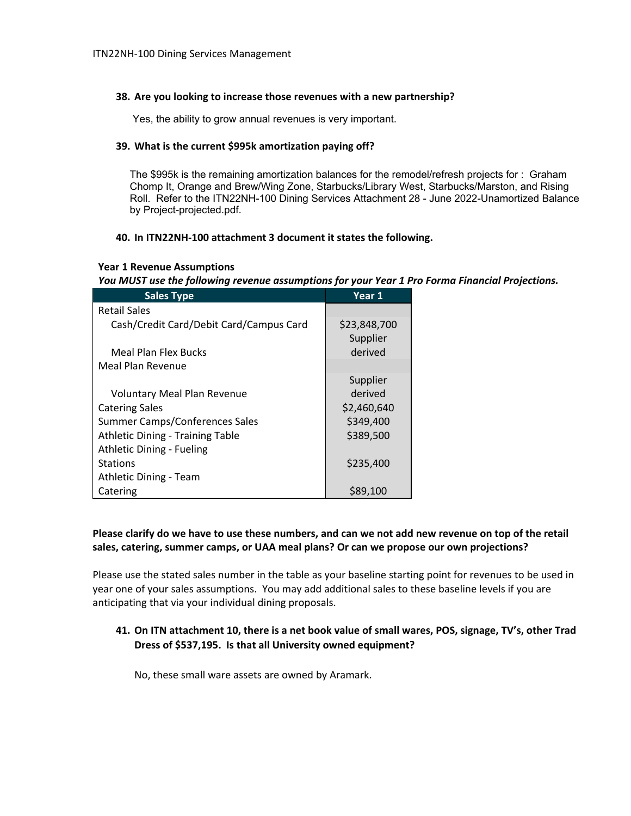#### **38. Are you looking to increase those revenues with a new partnership?**

Yes, the ability to grow annual revenues is very important.

#### **39. What is the current \$995k amortization paying off?**

The \$995k is the remaining amortization balances for the remodel/refresh projects for : Graham Chomp It, Orange and Brew/Wing Zone, Starbucks/Library West, Starbucks/Marston, and Rising Roll. Refer to the ITN22NH-100 Dining Services Attachment 28 - June 2022-Unamortized Balance by Project-projected.pdf.

#### **40. In ITN22NH‐100 attachment 3 document it states the following.**

# Year 1 Revenue Assumptions<br>You MUST use the following revenue assumptions for your Year 1 Pro Forma Financial Projections.

| <b>Sales Type</b>                       | Year 1       |
|-----------------------------------------|--------------|
| <b>Retail Sales</b>                     |              |
| Cash/Credit Card/Debit Card/Campus Card | \$23,848,700 |
|                                         | Supplier     |
| Meal Plan Flex Bucks                    | derived      |
| Meal Plan Revenue                       |              |
|                                         | Supplier     |
| <b>Voluntary Meal Plan Revenue</b>      | derived      |
| <b>Catering Sales</b>                   | \$2,460,640  |
| Summer Camps/Conferences Sales          | \$349,400    |
| <b>Athletic Dining - Training Table</b> | \$389,500    |
| Athletic Dining - Fueling               |              |
| <b>Stations</b>                         | \$235,400    |
| Athletic Dining - Team                  |              |
| Catering                                | \$89,100     |

# Please clarify do we have to use these numbers, and can we not add new revenue on top of the retail **sales, catering, summer camps, or UAA meal plans? Or can we propose our own projections?**

Please use the stated sales number in the table as your baseline starting point for revenues to be used in year one of your sales assumptions. You may add additional sales to these baseline levels if you are anticipating that via your individual dining proposals.

# 41. On ITN attachment 10, there is a net book value of small wares, POS, signage, TV's, other Trad **Dress of \$537,195. Is that all University owned equipment?**

No, these small ware assets are owned by Aramark.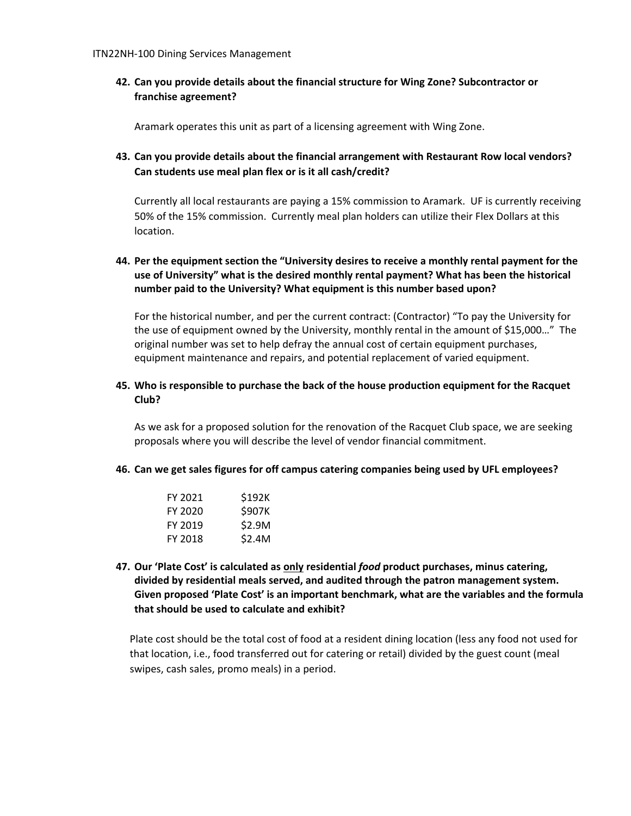**42. Can you provide details about the financial structure for Wing Zone? Subcontractor or franchise agreement?** 

Aramark operates this unit as part of a licensing agreement with Wing Zone.

**43. Can you provide details about the financial arrangement with Restaurant Row local vendors? Can students use meal plan flex or is it all cash/credit?** 

Currently all local restaurants are paying a 15% commission to Aramark. UF is currently receiving 50% of the 15% commission. Currently meal plan holders can utilize their Flex Dollars at this location.

# **44. Per the equipment section the "University desires to receive a monthly rental payment for the use of University" what is the desired monthly rental payment? What has been the historical number paid to the University? What equipment is this number based upon?**

For the historical number, and per the current contract: (Contractor) "To pay the University for the use of equipment owned by the University, monthly rental in the amount of \$15,000…" The original number was set to help defray the annual cost of certain equipment purchases, equipment maintenance and repairs, and potential replacement of varied equipment.

# **45. Who is responsible to purchase the back of the house production equipment for the Racquet Club?**

As we ask for a proposed solution for the renovation of the Racquet Club space, we are seeking proposals where you will describe the level of vendor financial commitment.

#### **46. Can we get sales figures for off campus catering companies being used by UFL employees?**

| FY 2021 | \$192K        |
|---------|---------------|
| FY 2020 | <b>\$907K</b> |
| FY 2019 | \$2.9M        |
| FY 2018 | \$2.4M        |

**47. Our 'Plate Cost' is calculated as only residential** *food* **product purchases, minus catering, divided by residential meals served, and audited through the patron management system. Given proposed 'Plate Cost' is an important benchmark, what are the variables and the formula that should be used to calculate and exhibit?** 

Plate cost should be the total cost of food at a resident dining location (less any food not used for that location, i.e., food transferred out for catering or retail) divided by the guest count (meal swipes, cash sales, promo meals) in a period.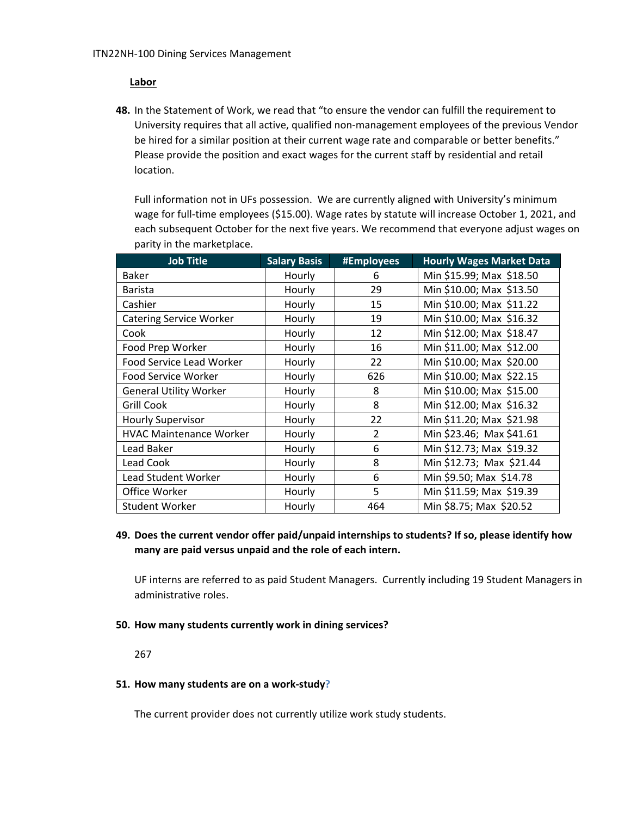# **Labor**

**48.** In the Statement of Work, we read that "to ensure the vendor can fulfill the requirement to University requires that all active, qualified non‐management employees of the previous Vendor be hired for a similar position at their current wage rate and comparable or better benefits." Please provide the position and exact wages for the current staff by residential and retail location.

Full information not in UFs possession. We are currently aligned with University's minimum wage for full-time employees (\$15.00). Wage rates by statute will increase October 1, 2021, and each subsequent October for the next five years. We recommend that everyone adjust wages on parity in the marketplace.

| <b>Job Title</b>               | <b>Salary Basis</b> | #Employees | <b>Hourly Wages Market Data</b> |
|--------------------------------|---------------------|------------|---------------------------------|
| <b>Baker</b>                   | Hourly              | 6          | Min \$15.99; Max \$18.50        |
| <b>Barista</b>                 | Hourly              | 29         | Min \$10.00; Max \$13.50        |
| Cashier                        | Hourly              | 15         | Min \$10.00; Max \$11.22        |
| <b>Catering Service Worker</b> | Hourly              | 19         | Min \$10.00; Max \$16.32        |
| Cook                           | Hourly              | 12         | Min \$12.00; Max \$18.47        |
| Food Prep Worker               | Hourly              | 16         | Min \$11.00; Max \$12.00        |
| Food Service Lead Worker       | Hourly              | 22         | Min \$10.00; Max \$20.00        |
| Food Service Worker            | Hourly              | 626        | Min \$10.00; Max \$22.15        |
| <b>General Utility Worker</b>  | Hourly              | 8          | Min \$10.00; Max \$15.00        |
| <b>Grill Cook</b>              | Hourly              | 8          | Min \$12.00; Max \$16.32        |
| <b>Hourly Supervisor</b>       | Hourly              | 22         | Min \$11.20; Max \$21.98        |
| <b>HVAC Maintenance Worker</b> | Hourly              | 2          | Min \$23.46; Max \$41.61        |
| Lead Baker                     | Hourly              | 6          | Min \$12.73; Max \$19.32        |
| Lead Cook                      | Hourly              | 8          | Min \$12.73; Max \$21.44        |
| <b>Lead Student Worker</b>     | Hourly              | 6          | Min \$9.50; Max \$14.78         |
| Office Worker                  | Hourly              | 5          | Min \$11.59; Max \$19.39        |
| <b>Student Worker</b>          | Hourly              | 464        | Min \$8.75; Max \$20.52         |

# **49. Does the current vendor offer paid/unpaid internships to students? If so, please identify how many are paid versus unpaid and the role of each intern.**

UF interns are referred to as paid Student Managers. Currently including 19 Student Managers in administrative roles.

# **50. How many students currently work in dining services?**

267

#### **51. How many students are on a work‐study?**

The current provider does not currently utilize work study students.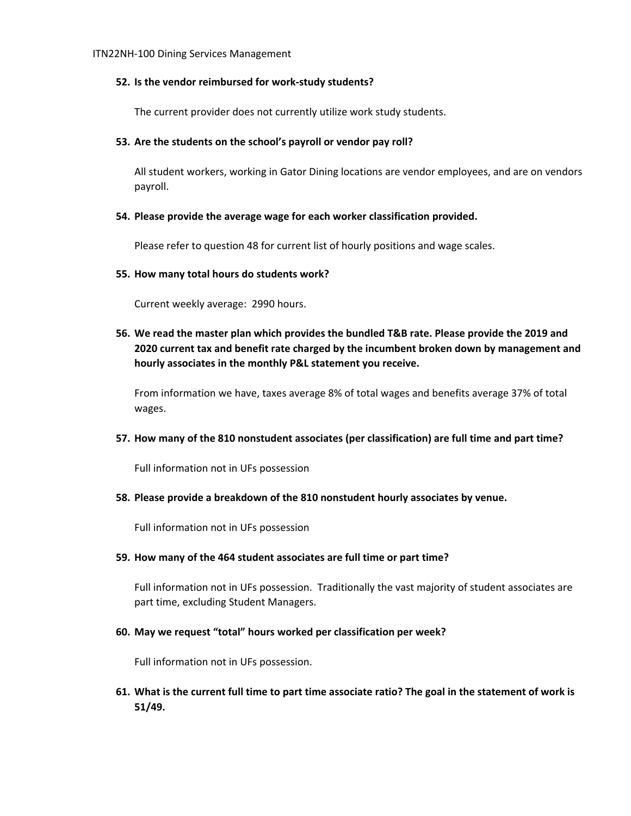#### **52. Is the vendor reimbursed for work‐study students?**

The current provider does not currently utilize work study students.

#### **53. Are the students on the school's payroll or vendor pay roll?**

All student workers, working in Gator Dining locations are vendor employees, and are on vendors payroll.

#### **54. Please provide the average wage for each worker classification provided.**

Please refer to question 48 for current list of hourly positions and wage scales.

#### **55. How many total hours do students work?**

Current weekly average: 2990 hours.

**56. We read the master plan which provides the bundled T&B rate. Please provide the 2019 and 2020 current tax and benefit rate charged by the incumbent broken down by management and hourly associates in the monthly P&L statement you receive.**

From information we have, taxes average 8% of total wages and benefits average 37% of total wages.

#### **57. How many of the 810 nonstudent associates (per classification) are full time and part time?**

Full information not in UFs possession

#### **58. Please provide a breakdown of the 810 nonstudent hourly associates by venue.**

Full information not in UFs possession

#### **59. How many of the 464 student associates are full time or part time?**

Full information not in UFs possession. Traditionally the vast majority of student associates are part time, excluding Student Managers.

# **60. May we request "total" hours worked per classification per week?**

Full information not in UFs possession.

61. What is the current full time to part time associate ratio? The goal in the statement of work is **51/49.**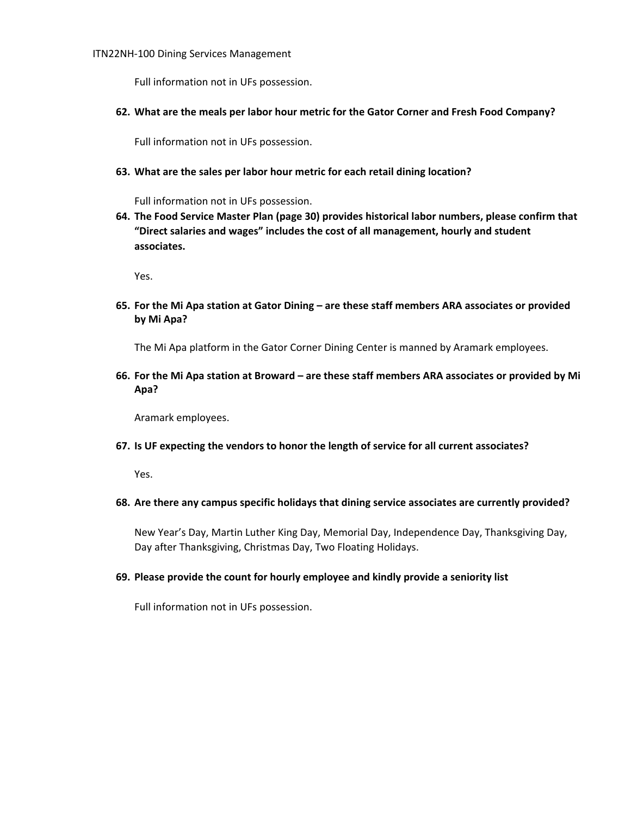Full information not in UFs possession.

**62. What are the meals per labor hour metric for the Gator Corner and Fresh Food Company?**

Full information not in UFs possession.

**63. What are the sales per labor hour metric for each retail dining location?**

Full information not in UFs possession.

**64. The Food Service Master Plan (page 30) provides historical labor numbers, please confirm that "Direct salaries and wages" includes the cost of all management, hourly and student associates.**

Yes.

**65. For the Mi Apa station at Gator Dining – are these staff members ARA associates or provided by Mi Apa?**

The Mi Apa platform in the Gator Corner Dining Center is manned by Aramark employees.

66. For the Mi Apa station at Broward - are these staff members ARA associates or provided by Mi **Apa?**

Aramark employees.

**67. Is UF expecting the vendors to honor the length of service for all current associates?**

Yes.

**68. Are there any campus specific holidays that dining service associates are currently provided?**

New Year's Day, Martin Luther King Day, Memorial Day, Independence Day, Thanksgiving Day, Day after Thanksgiving, Christmas Day, Two Floating Holidays.

#### **69. Please provide the count for hourly employee and kindly provide a seniority list**

Full information not in UFs possession.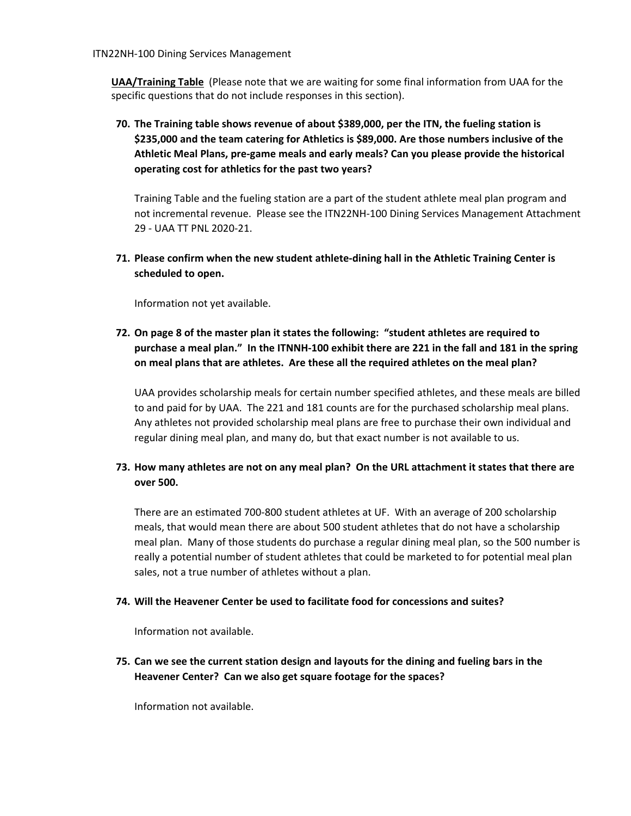**UAA/Training Table** (Please note that we are waiting for some final information from UAA for the specific questions that do not include responses in this section).

**70. The Training table shows revenue of about \$389,000, per the ITN, the fueling station is \$235,000 and the team catering for Athletics is \$89,000. Are those numbers inclusive of the Athletic Meal Plans, pre‐game meals and early meals? Can you please provide the historical operating cost for athletics for the past two years?**

Training Table and the fueling station are a part of the student athlete meal plan program and not incremental revenue. Please see the ITN22NH‐100 Dining Services Management Attachment 29 ‐ UAA TT PNL 2020‐21.

**71. Please confirm when the new student athlete‐dining hall in the Athletic Training Center is scheduled to open.** 

Information not yet available.

**72. On page 8 of the master plan it states the following: "student athletes are required to** purchase a meal plan." In the ITNNH-100 exhibit there are 221 in the fall and 181 in the spring **on meal plans that are athletes. Are these all the required athletes on the meal plan?** 

UAA provides scholarship meals for certain number specified athletes, and these meals are billed to and paid for by UAA. The 221 and 181 counts are for the purchased scholarship meal plans. Any athletes not provided scholarship meal plans are free to purchase their own individual and regular dining meal plan, and many do, but that exact number is not available to us.

# 73. How many athletes are not on any meal plan? On the URL attachment it states that there are **over 500.**

There are an estimated 700‐800 student athletes at UF. With an average of 200 scholarship meals, that would mean there are about 500 student athletes that do not have a scholarship meal plan. Many of those students do purchase a regular dining meal plan, so the 500 number is really a potential number of student athletes that could be marketed to for potential meal plan sales, not a true number of athletes without a plan.

# **74. Will the Heavener Center be used to facilitate food for concessions and suites?**

Information not available.

**75. Can we see the current station design and layouts for the dining and fueling bars in the Heavener Center? Can we also get square footage for the spaces?** 

Information not available.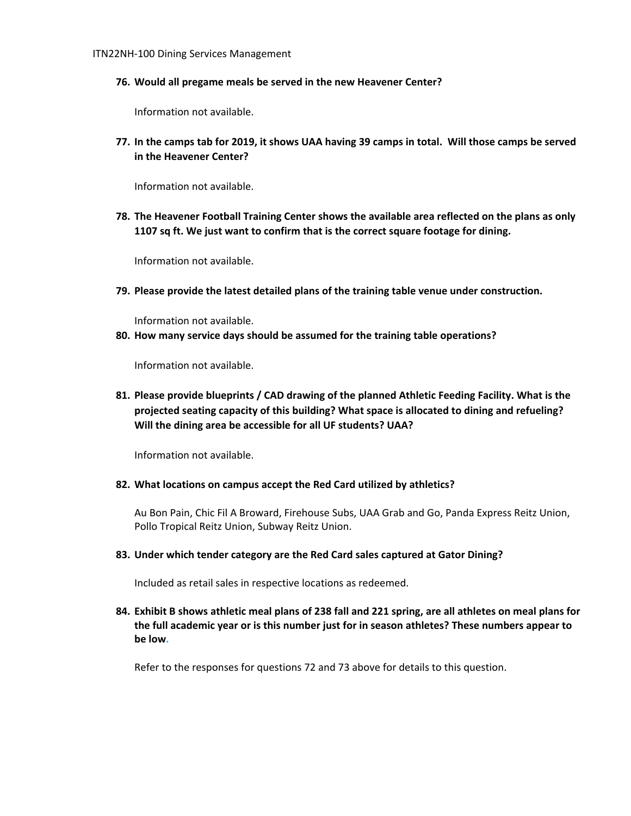**76. Would all pregame meals be served in the new Heavener Center?** 

Information not available.

77. In the camps tab for 2019, it shows UAA having 39 camps in total. Will those camps be served **in the Heavener Center?** 

Information not available.

**78. The Heavener Football Training Center shows the available area reflected on the plans as only 1107 sq ft. We just want to confirm that is the correct square footage for dining.** 

Information not available.

**79. Please provide the latest detailed plans of the training table venue under construction.** 

Information not available.

**80. How many service days should be assumed for the training table operations?** 

Information not available.

**81. Please provide blueprints / CAD drawing of the planned Athletic Feeding Facility. What is the projected seating capacity of this building? What space is allocated to dining and refueling? Will the dining area be accessible for all UF students? UAA?** 

Information not available.

#### **82. What locations on campus accept the Red Card utilized by athletics?**

Au Bon Pain, Chic Fil A Broward, Firehouse Subs, UAA Grab and Go, Panda Express Reitz Union, Pollo Tropical Reitz Union, Subway Reitz Union.

#### **83. Under which tender category are the Red Card sales captured at Gator Dining?**

Included as retail sales in respective locations as redeemed.

84. Exhibit B shows athletic meal plans of 238 fall and 221 spring, are all athletes on meal plans for **the full academic year or is this number just for in season athletes? These numbers appear to be low.** 

Refer to the responses for questions 72 and 73 above for details to this question.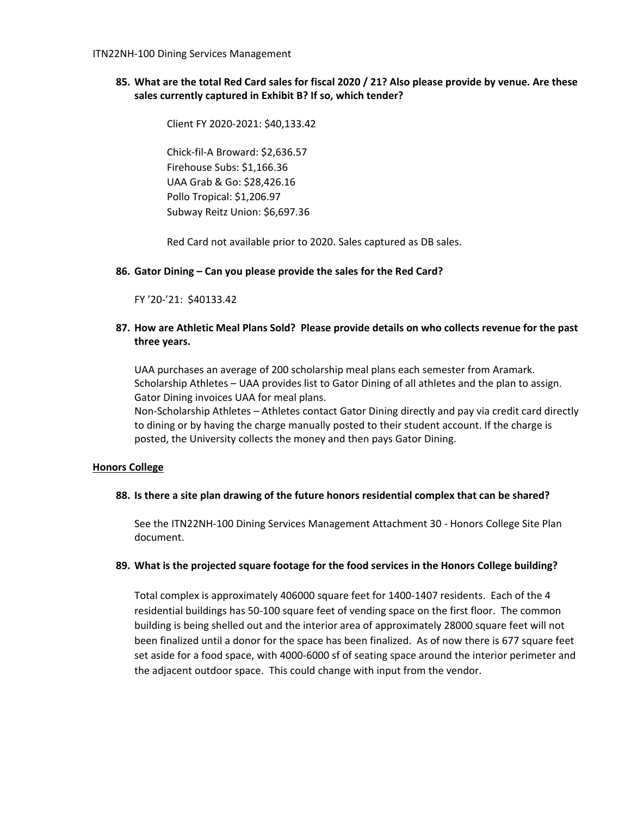85. What are the total Red Card sales for fiscal 2020 / 21? Also please provide by venue. Are these **sales currently captured in Exhibit B? If so, which tender?**

 Client FY 2020‐2021: \$40,133.42

Chick‐fil‐A Broward: \$2,636.57 Firehouse Subs: \$1,166.36 UAA Grab & Go: \$28,426.16 Pollo Tropical: \$1,206.97 Subway Reitz Union: \$6,697.36

Red Card not available prior to 2020. Sales captured as DB sales.

# **86. Gator Dining – Can you please provide the sales for the Red Card?**

FY '20‐'21: \$40133.42

# **87. How are Athletic Meal Plans Sold? Please provide details on who collects revenue for the past three years.**

UAA purchases an average of 200 scholarship meal plans each semester from Aramark. Scholarship Athletes – UAA provides list to Gator Dining of all athletes and the plan to assign. Gator Dining invoices UAA for meal plans.

Non‐Scholarship Athletes – Athletes contact Gator Dining directly and pay via credit card directly to dining or by having the charge manually posted to their student account. If the charge is posted, the University collects the money and then pays Gator Dining.

#### **Honors College**

# **88. Is there a site plan drawing of the future honors residential complex that can be shared?**

See the ITN22NH‐100 Dining Services Management Attachment 30 ‐ Honors College Site Plan document.

#### **89. What is the projected square footage for the food services in the Honors College building?**

Total complex is approximately 406000 square feet for 1400-1407 residents. Each of the 4 residential buildings has 50‐100 square feet of vending space on the first floor. The common building is being shelled out and the interior area of approximately 28000 square feet will not been finalized until a donor for the space has been finalized. As of now there is 677 square feet set aside for a food space, with 4000-6000 sf of seating space around the interior perimeter and the adjacent outdoor space. This could change with input from the vendor.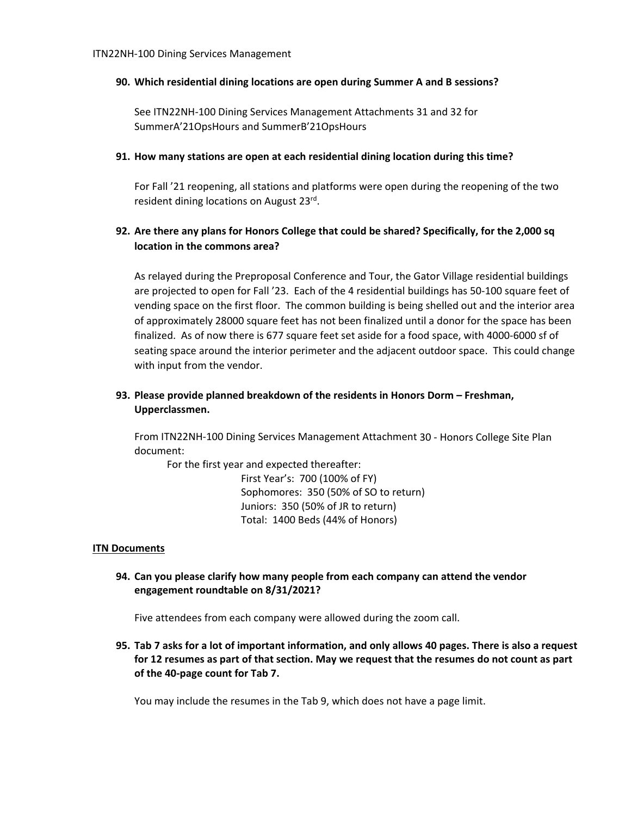### **90. Which residential dining locations are open during Summer A and B sessions?**

See ITN22NH‐100 Dining Services Management Attachments 31 and 32 for SummerA'21OpsHours and SummerB'21OpsHours

#### **91. How many stations are open at each residential dining location during this time?**

For Fall '21 reopening, all stations and platforms were open during the reopening of the two resident dining locations on August 23rd.

# **92. Are there any plans for Honors College that could be shared? Specifically, for the 2,000 sq location in the commons area?**

As relayed during the Preproposal Conference and Tour, the Gator Village residential buildings are projected to open for Fall '23. Each of the 4 residential buildings has 50-100 square feet of vending space on the first floor. The common building is being shelled out and the interior area of approximately 28000 square feet has not been finalized until a donor for the space has been finalized. As of now there is 677 square feet set aside for a food space, with 4000‐6000 sf of seating space around the interior perimeter and the adjacent outdoor space. This could change with input from the vendor.

# **93. Please provide planned breakdown of the residents in Honors Dorm – Freshman, Upperclassmen.**

From ITN22NH‐100 Dining Services Management Attachment 30 ‐ Honors College Site Plan document:

For the first year and expected thereafter: First Year's: 700 (100% of FY) Sophomores: 350 (50% of SO to return) Juniors: 350 (50% of JR to return) Total: 1400 Beds (44% of Honors)

# **ITN Documents**

**94. Can you please clarify how many people from each company can attend the vendor engagement roundtable on 8/31/2021?**

Five attendees from each company were allowed during the zoom call.

95. Tab 7 asks for a lot of important information, and only allows 40 pages. There is also a request for 12 resumes as part of that section. May we request that the resumes do not count as part **of the 40‐page count for Tab 7.**

You may include the resumes in the Tab 9, which does not have a page limit.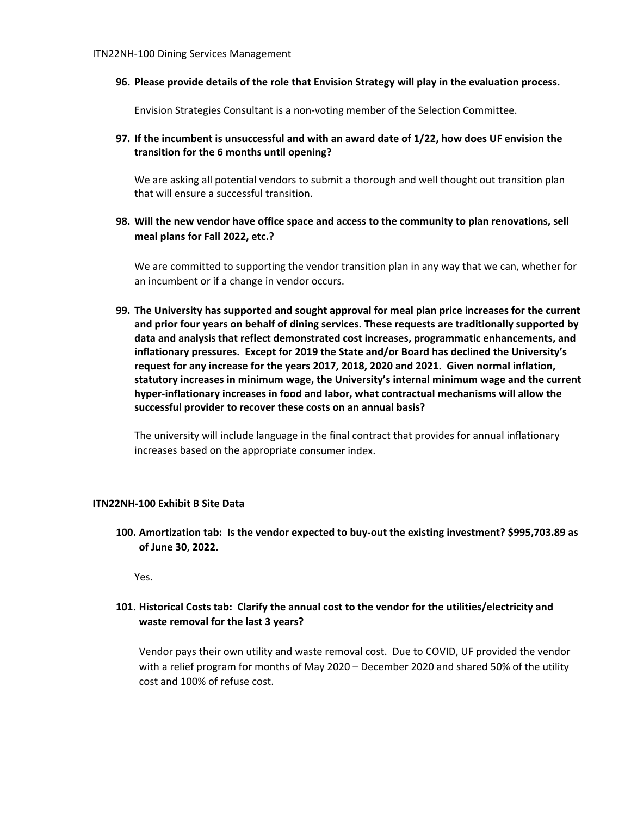**96. Please provide details of the role that Envision Strategy will play in the evaluation process.**

Envision Strategies Consultant is a non‐voting member of the Selection Committee.

**97. If the incumbent is unsuccessful and with an award date of 1/22, how does UF envision the transition for the 6 months until opening?** 

We are asking all potential vendors to submit a thorough and well thought out transition plan that will ensure a successful transition.

**98. Will the new vendor have office space and access to the community to plan renovations, sell meal plans for Fall 2022, etc.?**

We are committed to supporting the vendor transition plan in any way that we can, whether for an incumbent or if a change in vendor occurs.

**99. The University has supported and sought approval for meal plan price increases for the current and prior four years on behalf of dining services. These requests are traditionally supported by data and analysis that reflect demonstrated cost increases, programmatic enhancements, and inflationary pressures. Except for 2019 the State and/or Board has declined the University's request for any increase for the years 2017, 2018, 2020 and 2021. Given normal inflation, statutory increases in minimum wage, the University's internal minimum wage and the current hyper‐inflationary increases in food and labor, what contractual mechanisms will allow the successful provider to recover these costs on an annual basis?** 

The university will include language in the final contract that provides for annual inflationary increases based on the appropriate consumer index.

#### **ITN22NH‐100 Exhibit B Site Data**

**100. Amortization tab: Is the vendor expected to buy‐out the existing investment? \$995,703.89 as of June 30, 2022.** 

Yes.

# **101. Historical Costs tab: Clarify the annual cost to the vendor for the utilities/electricity and waste removal for the last 3 years?**

Vendor pays their own utility and waste removal cost. Due to COVID, UF provided the vendor with a relief program for months of May 2020 – December 2020 and shared 50% of the utility cost and 100% of refuse cost.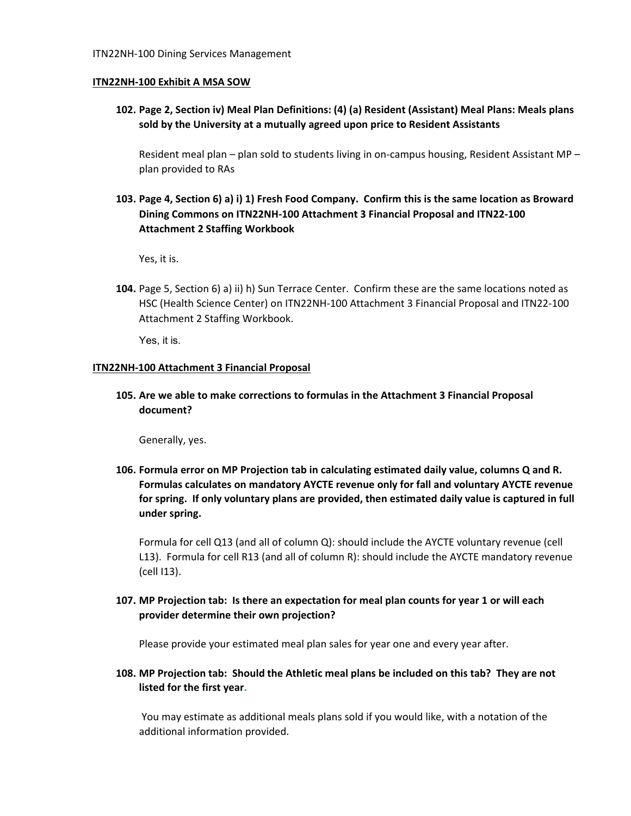#### **ITN22NH‐100 Exhibit A MSA SOW**

**102. Page 2, Section iv) Meal Plan Definitions: (4) (a) Resident (Assistant) Meal Plans: Meals plans sold by the University at a mutually agreed upon price to Resident Assistants**

Resident meal plan – plan sold to students living in on-campus housing, Resident Assistant MP – plan provided to RAs

103. Page 4, Section 6) a) i) 1) Fresh Food Company. Confirm this is the same location as Broward **Dining Commons on ITN22NH‐100 Attachment 3 Financial Proposal and ITN22‐100 Attachment 2 Staffing Workbook**

Yes, it is.

**104.** Page 5, Section 6) a) ii) h) Sun Terrace Center. Confirm these are the same locations noted as HSC (Health Science Center) on ITN22NH‐100 Attachment 3 Financial Proposal and ITN22‐100 Attachment 2 Staffing Workbook.

Yes, it is.

#### **ITN22NH‐100 Attachment 3 Financial Proposal**

**105. Are we able to make corrections to formulas in the Attachment 3 Financial Proposal document?**

Generally, yes.

**106. Formula error on MP Projection tab in calculating estimated daily value, columns Q and R. Formulas calculates on mandatory AYCTE revenue only for fall and voluntary AYCTE revenue for spring. If only voluntary plans are provided, then estimated daily value is captured in full under spring.** 

Formula for cell Q13 (and all of column Q): should include the AYCTE voluntary revenue (cell L13). Formula for cell R13 (and all of column R): should include the AYCTE mandatory revenue (cell I13).

# 107. MP Projection tab: Is there an expectation for meal plan counts for year 1 or will each **provider determine their own projection?**

Please provide your estimated meal plan sales for year one and every year after.

108. MP Projection tab: Should the Athletic meal plans be included on this tab? They are not **listed for the first year.**

You may estimate as additional meals plans sold if you would like, with a notation of the additional information provided.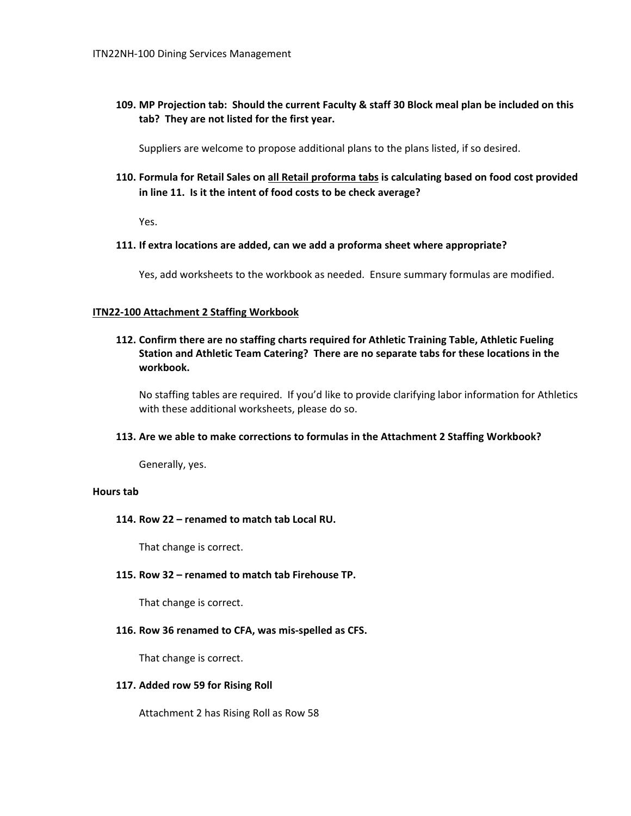109. MP Projection tab: Should the current Faculty & staff 30 Block meal plan be included on this **tab? They are not listed for the first year.**

Suppliers are welcome to propose additional plans to the plans listed, if so desired.

**110. Formula for Retail Sales on all Retail proforma tabs is calculating based on food cost provided in line 11. Is it the intent of food costs to be check average?** 

Yes.

**111. If extra locations are added, can we add a proforma sheet where appropriate?** 

Yes, add worksheets to the workbook as needed. Ensure summary formulas are modified.

#### **ITN22‐100 Attachment 2 Staffing Workbook**

**112. Confirm there are no staffing charts required for Athletic Training Table, Athletic Fueling Station and Athletic Team Catering? There are no separate tabs for these locations in the workbook.**

No staffing tables are required. If you'd like to provide clarifying labor information for Athletics with these additional worksheets, please do so.

#### **113. Are we able to make corrections to formulas in the Attachment 2 Staffing Workbook?**

Generally, yes.

#### **Hours tab**

#### **114. Row 22 – renamed to match tab Local RU.**

That change is correct.

#### **115. Row 32 – renamed to match tab Firehouse TP.**

That change is correct.

#### **116. Row 36 renamed to CFA, was mis‐spelled as CFS.**

That change is correct.

#### **117. Added row 59 for Rising Roll**

Attachment 2 has Rising Roll as Row 58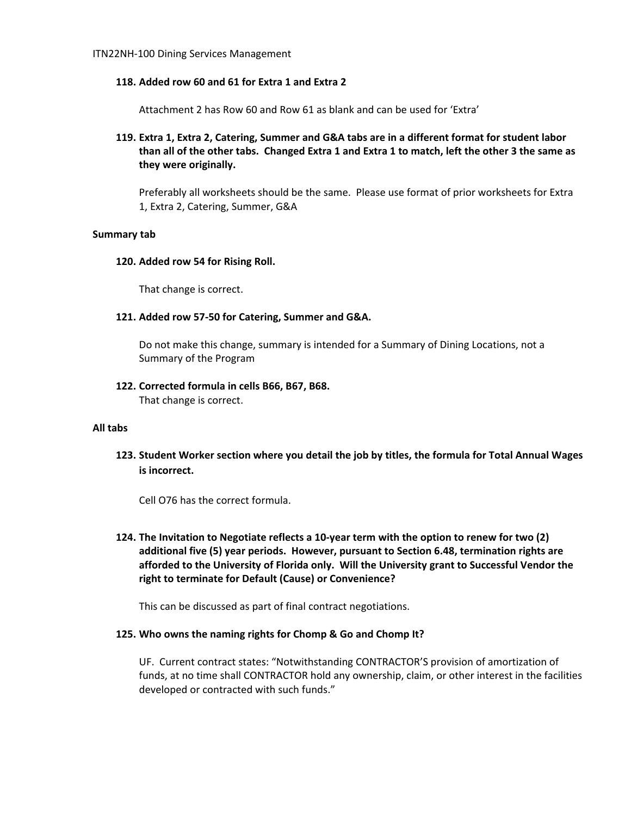#### **118. Added row 60 and 61 for Extra 1 and Extra 2**

Attachment 2 has Row 60 and Row 61 as blank and can be used for 'Extra'

**119. Extra 1, Extra 2, Catering, Summer and G&A tabs are in a different format for student labor** than all of the other tabs. Changed Extra 1 and Extra 1 to match, left the other 3 the same as **they were originally.**

Preferably all worksheets should be the same. Please use format of prior worksheets for Extra 1, Extra 2, Catering, Summer, G&A

#### **Summary tab**

#### **120. Added row 54 for Rising Roll.**

That change is correct.

**121. Added row 57‐50 for Catering, Summer and G&A.** 

Do not make this change, summary is intended for a Summary of Dining Locations, not a Summary of the Program

#### **122. Corrected formula in cells B66, B67, B68.**

That change is correct.

#### **All tabs**

**123. Student Worker section where you detail the job by titles, the formula for Total Annual Wages is incorrect.**

Cell O76 has the correct formula.

124. The Invitation to Negotiate reflects a 10-year term with the option to renew for two (2) **additional five (5) year periods. However, pursuant to Section 6.48, termination rights are afforded to the University of Florida only. Will the University grant to Successful Vendor the right to terminate for Default (Cause) or Convenience?** 

This can be discussed as part of final contract negotiations.

#### **125. Who owns the naming rights for Chomp & Go and Chomp It?**

UF. Current contract states: "Notwithstanding CONTRACTOR'S provision of amortization of funds, at no time shall CONTRACTOR hold any ownership, claim, or other interest in the facilities developed or contracted with such funds."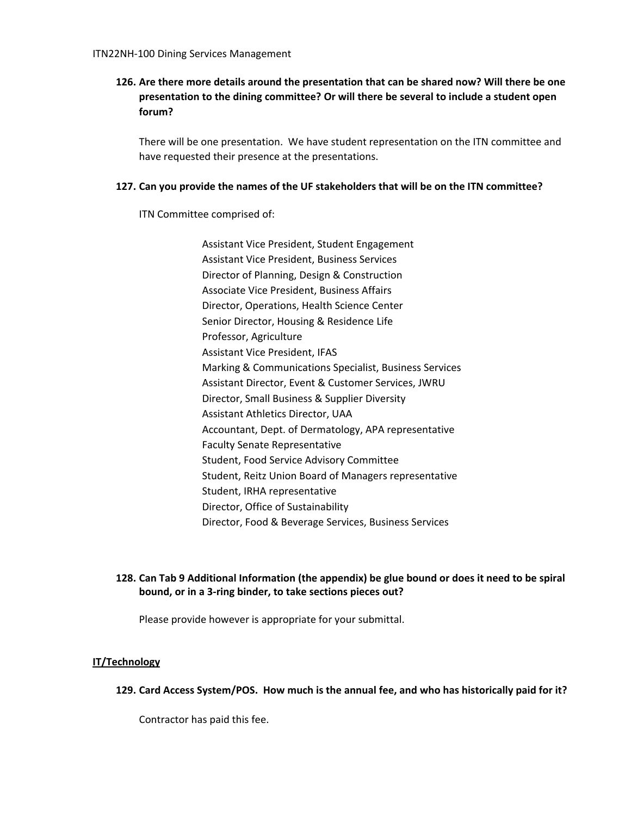# **126. Are there more details around the presentation that can be shared now? Will there be one presentation to the dining committee? Or will there be several to include a student open forum?**

There will be one presentation. We have student representation on the ITN committee and have requested their presence at the presentations.

### **127. Can you provide the names of the UF stakeholders that will be on the ITN committee?**

ITN Committee comprised of:

Assistant Vice President, Student Engagement Assistant Vice President, Business Services Director of Planning, Design & Construction Associate Vice President, Business Affairs Director, Operations, Health Science Center Senior Director, Housing & Residence Life Professor, Agriculture Assistant Vice President, IFAS Marking & Communications Specialist, Business Services Assistant Director, Event & Customer Services, JWRU Director, Small Business & Supplier Diversity Assistant Athletics Director, UAA Accountant, Dept. of Dermatology, APA representative Faculty Senate Representative Student, Food Service Advisory Committee Student, Reitz Union Board of Managers representative Student, IRHA representative Director, Office of Sustainability Director, Food & Beverage Services, Business Services

# **128. Can Tab 9 Additional Information (the appendix) be glue bound or does it need to be spiral bound, or in a 3‐ring binder, to take sections pieces out?**

Please provide however is appropriate for your submittal.

# **IT/Technology**

129. Card Access System/POS. How much is the annual fee, and who has historically paid for it?

Contractor has paid this fee.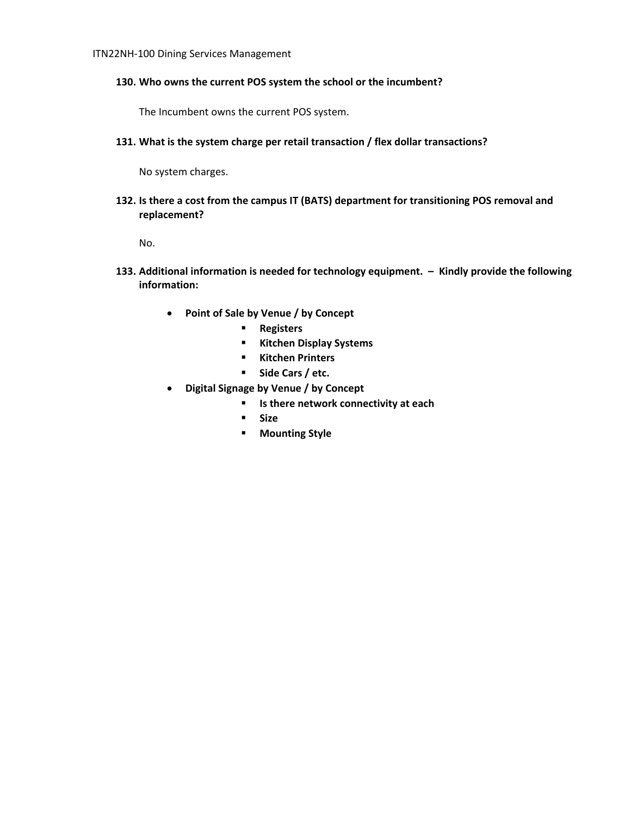### **130. Who owns the current POS system the school or the incumbent?**

The Incumbent owns the current POS system.

**131. What is the system charge per retail transaction / flex dollar transactions?**

No system charges.

**132. Is there a cost from the campus IT (BATS) department for transitioning POS removal and replacement?** 

No.

- **133. Additional information is needed for technology equipment. – Kindly provide the following information:**
	- **Point of Sale by Venue / by Concept**
		- **Registers**
		- **Kitchen Display Systems**
		- **Kitchen Printers**
		- **Side Cars / etc.**
	- **Digital Signage by Venue / by Concept**
		- **Is there network connectivity at each**
			- **Size**
			- **Mounting Style**